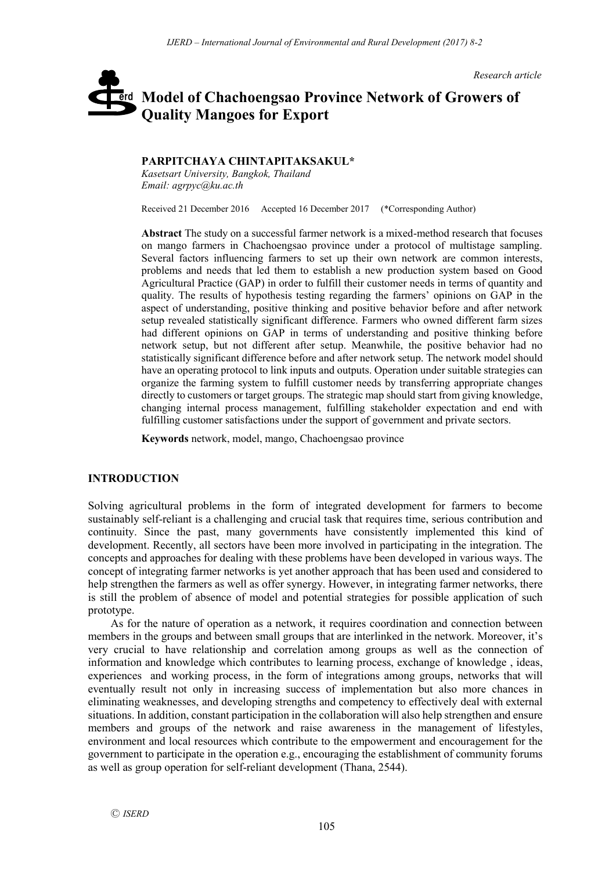*Research article*

# **Model of Chachoengsao Province Network of Growers of**  erd **Quality Mangoes for Export**

**PARPITCHAYA CHINTAPITAKSAKUL\*** *Kasetsart University, Bangkok, Thailand*

*Email: agrpyc@ku.ac.th*

Received 21 December 2016 Accepted 16 December 2017 (\*Corresponding Author)

**Abstract** The study on a successful farmer network is a mixed-method research that focuses on mango farmers in Chachoengsao province under a protocol of multistage sampling. Several factors influencing farmers to set up their own network are common interests, problems and needs that led them to establish a new production system based on Good Agricultural Practice (GAP) in order to fulfill their customer needs in terms of quantity and quality. The results of hypothesis testing regarding the farmers' opinions on GAP in the aspect of understanding, positive thinking and positive behavior before and after network setup revealed statistically significant difference. Farmers who owned different farm sizes had different opinions on GAP in terms of understanding and positive thinking before network setup, but not different after setup. Meanwhile, the positive behavior had no statistically significant difference before and after network setup. The network model should have an operating protocol to link inputs and outputs. Operation under suitable strategies can organize the farming system to fulfill customer needs by transferring appropriate changes directly to customers or target groups. The strategic map should start from giving knowledge, changing internal process management, fulfilling stakeholder expectation and end with fulfilling customer satisfactions under the support of government and private sectors.

**Keywords** network, model, mango, Chachoengsao province

# **INTRODUCTION**

Solving agricultural problems in the form of integrated development for farmers to become sustainably self-reliant is a challenging and crucial task that requires time, serious contribution and continuity. Since the past, many governments have consistently implemented this kind of development. Recently, all sectors have been more involved in participating in the integration. The concepts and approaches for dealing with these problems have been developed in various ways. The concept of integrating farmer networks is yet another approach that has been used and considered to help strengthen the farmers as well as offer synergy. However, in integrating farmer networks, there is still the problem of absence of model and potential strategies for possible application of such prototype.

As for the nature of operation as a network, it requires coordination and connection between members in the groups and between small groups that are interlinked in the network. Moreover, it's very crucial to have relationship and correlation among groups as well as the connection of information and knowledge which contributes to learning process, exchange of knowledge , ideas, experiences and working process, in the form of integrations among groups, networks that will eventually result not only in increasing success of implementation but also more chances in eliminating weaknesses, and developing strengths and competency to effectively deal with external situations. In addition, constant participation in the collaboration will also help strengthen and ensure members and groups of the network and raise awareness in the management of lifestyles, environment and local resources which contribute to the empowerment and encouragement for the government to participate in the operation e.g., encouraging the establishment of community forums as well as group operation for self-reliant development (Thana, 2544).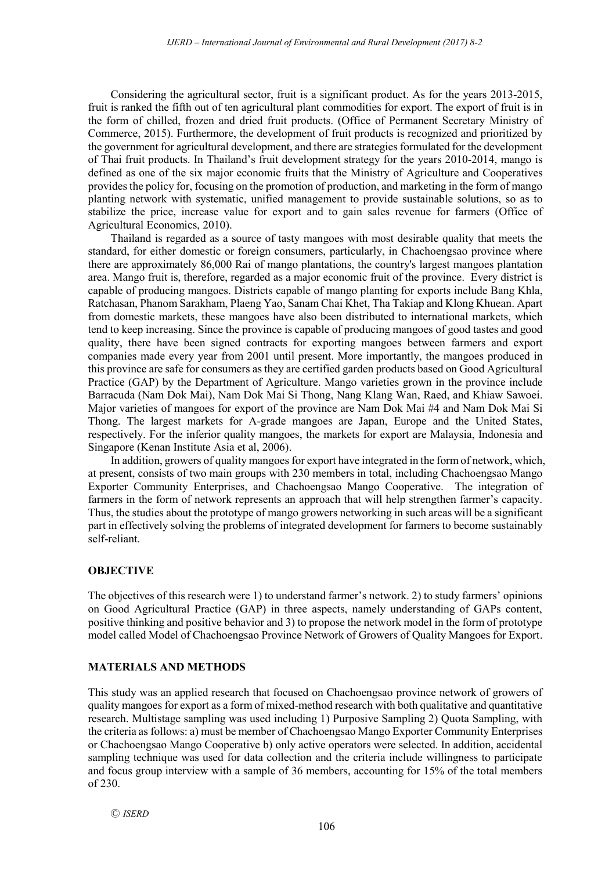Considering the agricultural sector, fruit is a significant product. As for the years 2013-2015, fruit is ranked the fifth out of ten agricultural plant commodities for export. The export of fruit is in the form of chilled, frozen and dried fruit products. (Office of Permanent Secretary Ministry of Commerce, 2015). Furthermore, the development of fruit products is recognized and prioritized by the government for agricultural development, and there are strategies formulated for the development of Thai fruit products. In Thailand's fruit development strategy for the years 2010-2014, mango is defined as one of the six major economic fruits that the Ministry of Agriculture and Cooperatives providesthe policy for, focusing on the promotion of production, and marketing in the form of mango planting network with systematic, unified management to provide sustainable solutions, so as to stabilize the price, increase value for export and to gain sales revenue for farmers (Office of Agricultural Economics, 2010).

Thailand is regarded as a source of tasty mangoes with most desirable quality that meets the standard, for either domestic or foreign consumers, particularly, in Chachoengsao province where there are approximately 86,000 Rai of mango plantations, the country's largest mangoes plantation area. Mango fruit is, therefore, regarded as a major economic fruit of the province. Every district is capable of producing mangoes. Districts capable of mango planting for exports include Bang Khla, Ratchasan, Phanom Sarakham, Plaeng Yao, Sanam Chai Khet, Tha Takiap and Klong Khuean. Apart from domestic markets, these mangoes have also been distributed to international markets, which tend to keep increasing. Since the province is capable of producing mangoes of good tastes and good quality, there have been signed contracts for exporting mangoes between farmers and export companies made every year from 2001 until present. More importantly, the mangoes produced in this province are safe for consumers as they are certified garden products based on Good Agricultural Practice (GAP) by the Department of Agriculture. Mango varieties grown in the province include Barracuda (Nam Dok Mai), Nam Dok Mai Si Thong, Nang Klang Wan, Raed, and Khiaw Sawoei. Major varieties of mangoes for export of the province are Nam Dok Mai #4 and Nam Dok Mai Si Thong. The largest markets for A-grade mangoes are Japan, Europe and the United States, respectively. For the inferior quality mangoes, the markets for export are Malaysia, Indonesia and Singapore (Kenan Institute Asia et al, 2006).

In addition, growers of quality mangoes for export have integrated in the form of network, which, at present, consists of two main groups with 230 members in total, including Chachoengsao Mango Exporter Community Enterprises, and Chachoengsao Mango Cooperative. The integration of farmers in the form of network represents an approach that will help strengthen farmer's capacity. Thus, the studies about the prototype of mango growers networking in such areas will be a significant part in effectively solving the problems of integrated development for farmers to become sustainably self-reliant.

## **OBJECTIVE**

The objectives of this research were 1) to understand farmer's network. 2) to study farmers' opinions on Good Agricultural Practice (GAP) in three aspects, namely understanding of GAPs content, positive thinking and positive behavior and 3) to propose the network model in the form of prototype model called Model of Chachoengsao Province Network of Growers of Quality Mangoes for Export.

# **MATERIALS AND METHODS**

This study was an applied research that focused on Chachoengsao province network of growers of quality mangoes for export as a form of mixed-method research with both qualitative and quantitative research. Multistage sampling was used including 1) Purposive Sampling 2) Quota Sampling, with the criteria as follows: a) must be member of Chachoengsao Mango Exporter Community Enterprises or Chachoengsao Mango Cooperative b) only active operators were selected. In addition, accidental sampling technique was used for data collection and the criteria include willingness to participate and focus group interview with a sample of 36 members, accounting for 15% of the total members of 230.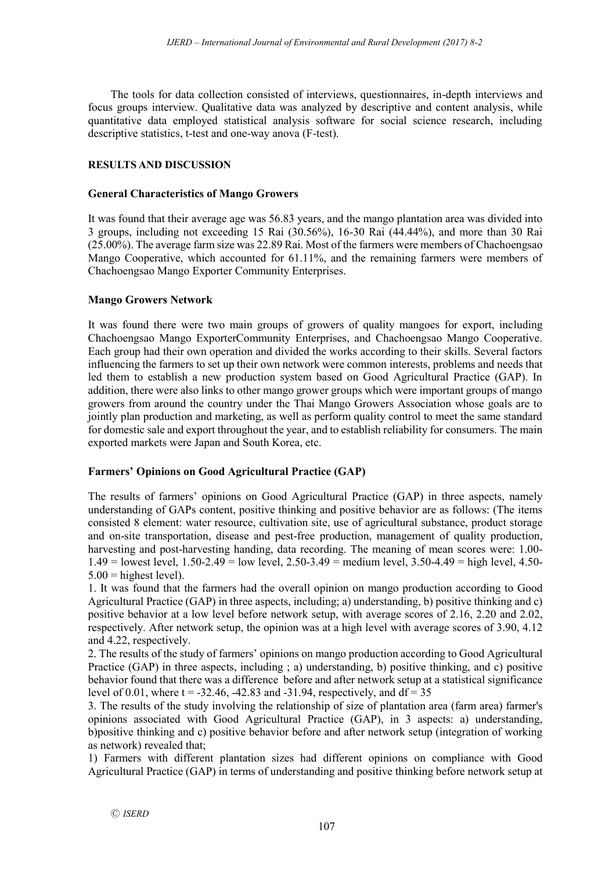The tools for data collection consisted of interviews, questionnaires, in-depth interviews and focus groups interview. Qualitative data was analyzed by descriptive and content analysis, while quantitative data employed statistical analysis software for social science research, including descriptive statistics, t-test and one-way anova (F-test).

# **RESULTS AND DISCUSSION**

## **General Characteristics of Mango Growers**

It was found that their average age was 56.83 years, and the mango plantation area was divided into 3 groups, including not exceeding 15 Rai (30.56%), 16-30 Rai (44.44%), and more than 30 Rai (25.00%). The average farm size was 22.89 Rai. Most of the farmers were members of Chachoengsao Mango Cooperative, which accounted for 61.11%, and the remaining farmers were members of Chachoengsao Mango Exporter Community Enterprises.

## **Mango Growers Network**

It was found there were two main groups of growers of quality mangoes for export, including Chachoengsao Mango ExporterCommunity Enterprises, and Chachoengsao Mango Cooperative. Each group had their own operation and divided the works according to their skills. Several factors influencing the farmers to set up their own network were common interests, problems and needs that led them to establish a new production system based on Good Agricultural Practice (GAP). In addition, there were also links to other mango grower groups which were important groups of mango growers from around the country under the Thai Mango Growers Association whose goals are to jointly plan production and marketing, as well as perform quality control to meet the same standard for domestic sale and export throughout the year, and to establish reliability for consumers. The main exported markets were Japan and South Korea, etc.

# **Farmers' Opinions on Good Agricultural Practice (GAP)**

The results of farmers' opinions on Good Agricultural Practice (GAP) in three aspects, namely understanding of GAPs content, positive thinking and positive behavior are as follows: (The items consisted 8 element: water resource, cultivation site, use of agricultural substance, product storage and on-site transportation, disease and pest-free production, management of quality production, harvesting and post-harvesting handing, data recording. The meaning of mean scores were: 1.00-  $1.49 =$  lowest level,  $1.50 - 2.49 =$  low level,  $2.50 - 3.49 =$  medium level,  $3.50 - 4.49 =$  high level,  $4.50 5.00$  = highest level).

1. It was found that the farmers had the overall opinion on mango production according to Good Agricultural Practice (GAP) in three aspects, including; a) understanding, b) positive thinking and c) positive behavior at a low level before network setup, with average scores of 2.16, 2.20 and 2.02, respectively. After network setup, the opinion was at a high level with average scores of 3.90, 4.12 and 4.22, respectively.

2. The results of the study of farmers' opinions on mango production according to Good Agricultural Practice (GAP) in three aspects, including ; a) understanding, b) positive thinking, and c) positive behavior found that there was a difference before and after network setup at a statistical significance level of 0.01, where  $t = -32.46$ ,  $-42.83$  and  $-31.94$ , respectively, and  $df = 35$ 

3. The results of the study involving the relationship of size of plantation area (farm area) farmer's opinions associated with Good Agricultural Practice (GAP), in 3 aspects: a) understanding, b)positive thinking and c) positive behavior before and after network setup (integration of working as network) revealed that;

1) Farmers with different plantation sizes had different opinions on compliance with Good Agricultural Practice (GAP) in terms of understanding and positive thinking before network setup at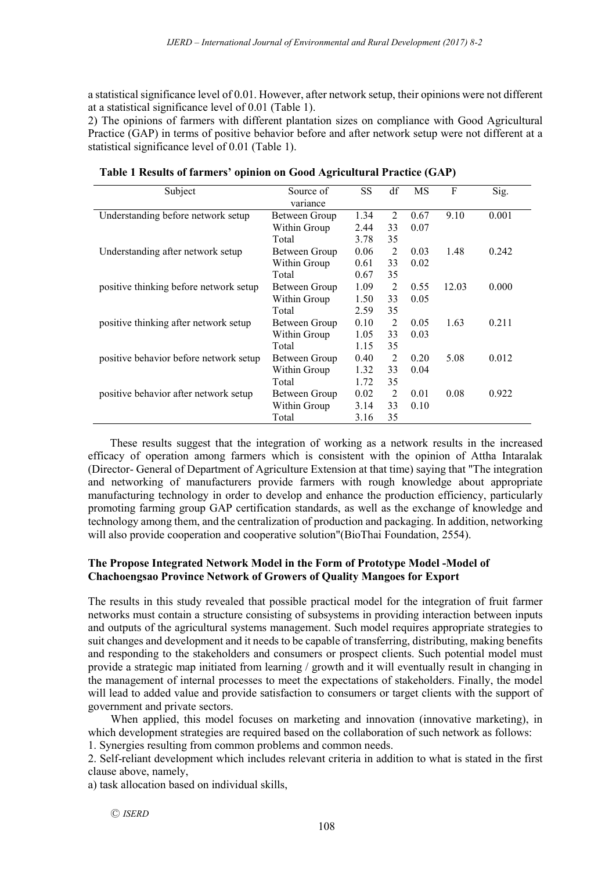a statistical significance level of 0.01. However, after network setup, their opinions were not different at a statistical significance level of 0.01 (Table 1).

2) The opinions of farmers with different plantation sizes on compliance with Good Agricultural Practice (GAP) in terms of positive behavior before and after network setup were not different at a statistical significance level of 0.01 (Table 1).

| Subject                                | Source of     | <b>SS</b> | df             | MS   | F     | Sig.  |
|----------------------------------------|---------------|-----------|----------------|------|-------|-------|
|                                        | variance      |           |                |      |       |       |
| Understanding before network setup     | Between Group | 1.34      | $\mathfrak{D}$ | 0.67 | 9.10  | 0.001 |
|                                        | Within Group  | 2.44      | 33             | 0.07 |       |       |
|                                        | Total         | 3.78      | 35             |      |       |       |
| Understanding after network setup      | Between Group | 0.06      | $\overline{2}$ | 0.03 | 1.48  | 0.242 |
|                                        | Within Group  | 0.61      | 33             | 0.02 |       |       |
|                                        | Total         | 0.67      | 35             |      |       |       |
| positive thinking before network setup | Between Group | 1.09      | 2              | 0.55 | 12.03 | 0.000 |
|                                        | Within Group  | 1.50      | 33             | 0.05 |       |       |
|                                        | Total         | 2.59      | 35             |      |       |       |
| positive thinking after network setup  | Between Group | 0.10      | 2              | 0.05 | 1.63  | 0.211 |
|                                        | Within Group  | 1.05      | 33             | 0.03 |       |       |
|                                        | Total         | 1.15      | 35             |      |       |       |
| positive behavior before network setup | Between Group | 0.40      | $\overline{2}$ | 0.20 | 5.08  | 0.012 |
|                                        | Within Group  | 1.32      | 33             | 0.04 |       |       |
|                                        | Total         | 1 72      | 35             |      |       |       |
| positive behavior after network setup  | Between Group | 0.02      | $\overline{2}$ | 0.01 | 0.08  | 0.922 |
|                                        | Within Group  | 3.14      | 33             | 0.10 |       |       |
|                                        | Total         | 3.16      | 35             |      |       |       |

**Table 1 Results of farmers' opinion on Good Agricultural Practice (GAP)**

These results suggest that the integration of working as a network results in the increased efficacy of operation among farmers which is consistent with the opinion of Attha Intaralak (Director- General of Department of Agriculture Extension at that time) saying that "The integration and networking of manufacturers provide farmers with rough knowledge about appropriate manufacturing technology in order to develop and enhance the production efficiency, particularly promoting farming group GAP certification standards, as well as the exchange of knowledge and technology among them, and the centralization of production and packaging. In addition, networking will also provide cooperation and cooperative solution"(BioThai Foundation, 2554).

## **The Propose Integrated Network Model in the Form of Prototype Model -Model of Chachoengsao Province Network of Growers of Quality Mangoes for Export**

The results in this study revealed that possible practical model for the integration of fruit farmer networks must contain a structure consisting of subsystems in providing interaction between inputs and outputs of the agricultural systems management. Such model requires appropriate strategies to suit changes and development and it needs to be capable of transferring, distributing, making benefits and responding to the stakeholders and consumers or prospect clients. Such potential model must provide a strategic map initiated from learning / growth and it will eventually result in changing in the management of internal processes to meet the expectations of stakeholders. Finally, the model will lead to added value and provide satisfaction to consumers or target clients with the support of government and private sectors.

When applied, this model focuses on marketing and innovation (innovative marketing), in which development strategies are required based on the collaboration of such network as follows:

1. Synergies resulting from common problems and common needs.

2. Self-reliant development which includes relevant criteria in addition to what is stated in the first clause above, namely,

a) task allocation based on individual skills,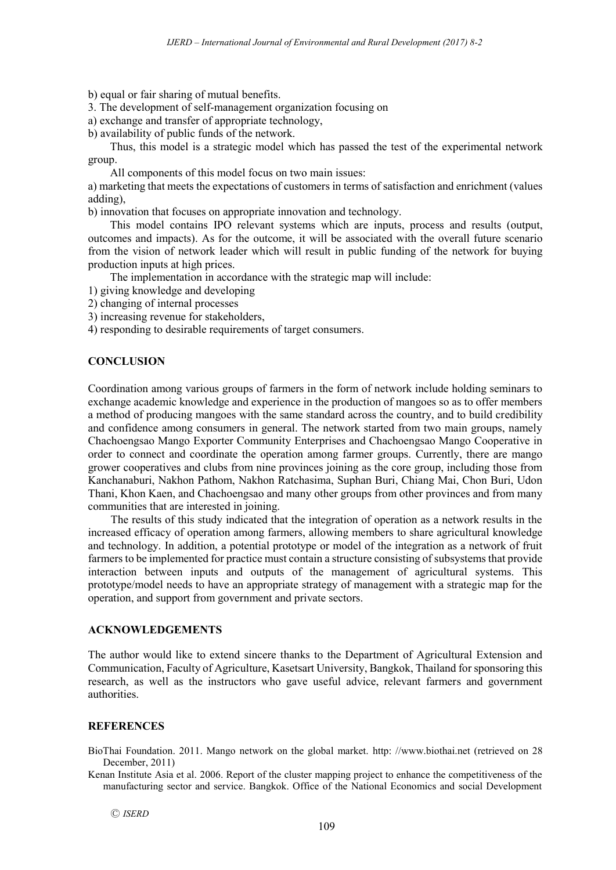b) equal or fair sharing of mutual benefits.

3. The development of self-management organization focusing on

a) exchange and transfer of appropriate technology,

b) availability of public funds of the network.

Thus, this model is a strategic model which has passed the test of the experimental network group.

All components of this model focus on two main issues:

a) marketing that meets the expectations of customers in terms of satisfaction and enrichment (values adding),

b) innovation that focuses on appropriate innovation and technology.

This model contains IPO relevant systems which are inputs, process and results (output, outcomes and impacts). As for the outcome, it will be associated with the overall future scenario from the vision of network leader which will result in public funding of the network for buying production inputs at high prices.

The implementation in accordance with the strategic map will include:

- 1) giving knowledge and developing
- 2) changing of internal processes
- 3) increasing revenue for stakeholders,
- 4) responding to desirable requirements of target consumers.

## **CONCLUSION**

Coordination among various groups of farmers in the form of network include holding seminars to exchange academic knowledge and experience in the production of mangoes so as to offer members a method of producing mangoes with the same standard across the country, and to build credibility and confidence among consumers in general. The network started from two main groups, namely Chachoengsao Mango Exporter Community Enterprises and Chachoengsao Mango Cooperative in order to connect and coordinate the operation among farmer groups. Currently, there are mango grower cooperatives and clubs from nine provinces joining as the core group, including those from Kanchanaburi, Nakhon Pathom, Nakhon Ratchasima, Suphan Buri, Chiang Mai, Chon Buri, Udon Thani, Khon Kaen, and Chachoengsao and many other groups from other provinces and from many communities that are interested in joining.

The results of this study indicated that the integration of operation as a network results in the increased efficacy of operation among farmers, allowing members to share agricultural knowledge and technology. In addition, a potential prototype or model of the integration as a network of fruit farmers to be implemented for practice must contain a structure consisting of subsystems that provide interaction between inputs and outputs of the management of agricultural systems. This prototype/model needs to have an appropriate strategy of management with a strategic map for the operation, and support from government and private sectors.

#### **ACKNOWLEDGEMENTS**

The author would like to extend sincere thanks to the Department of Agricultural Extension and Communication, Faculty of Agriculture, Kasetsart University, Bangkok, Thailand for sponsoring this research, as well as the instructors who gave useful advice, relevant farmers and government authorities.

## **REFERENCES**

BioThai Foundation. 2011. Mango network on the global market. http: //www.biothai.net (retrieved on 28 December, 2011)

Kenan Institute Asia et al. 2006. Report of the cluster mapping project to enhance the competitiveness of the manufacturing sector and service. Bangkok. Office of the National Economics and social Development